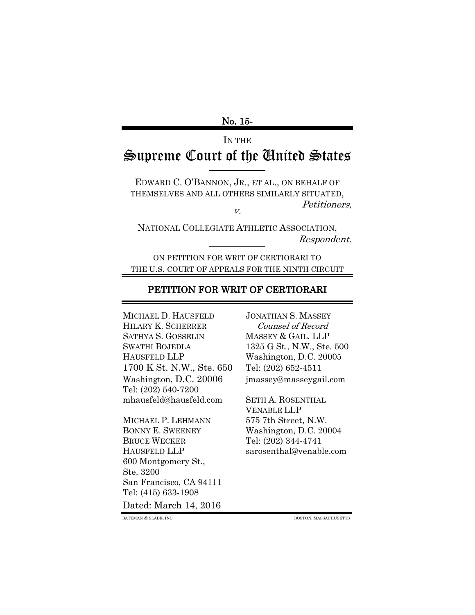## No. 15-

# <span id="page-0-0"></span>IN THE Supreme Court of the United States

EDWARD C. O'BANNON, JR., ET AL., ON BEHALF OF THEMSELVES AND ALL OTHERS SIMILARLY SITUATED,

v.

Petitioners,

NATIONAL COLLEGIATE ATHLETIC ASSOCIATION, Respondent.

ON PETITION FOR WRIT OF CERTIORARI TO THE U.S. COURT OF APPEALS FOR THE NINTH CIRCUIT

## PETITION FOR WRIT OF CERTIORARI

MICHAEL D. HAUSFELD JONATHAN S. MASSEY HILARY K. SCHERRER Counsel of Record SATHYA S. GOSSELIN MASSEY & GAIL, LLP SWATHI BOJEDLA 1325 G St., N.W., Ste. 500 HAUSFELD LLP Washington, D.C. 20005 1700 K St. N.W., Ste. 650 Tel: (202) 652-4511 Washington, D.C. 20006 jmassey@masseygail.com Tel: (202) 540-7200 mhausfeld@hausfeld.com SETH A. ROSENTHAL

<span id="page-0-1"></span>MICHAEL P. LEHMANN 575 7th Street, N.W. BONNY E. SWEENEY Washington, D.C. 20004 BRUCE WECKER Tel: (202) 344-4741 600 Montgomery St., Ste. 3200 San Francisco, CA 94111 Tel: (415) 633-1908

Dated: March 14, 2016

VENABLE LLP HAUSFELD LLP sarosenthal@venable.com

BATEMAN & SLADE, INC. BOSTON, MASSACHUSETTS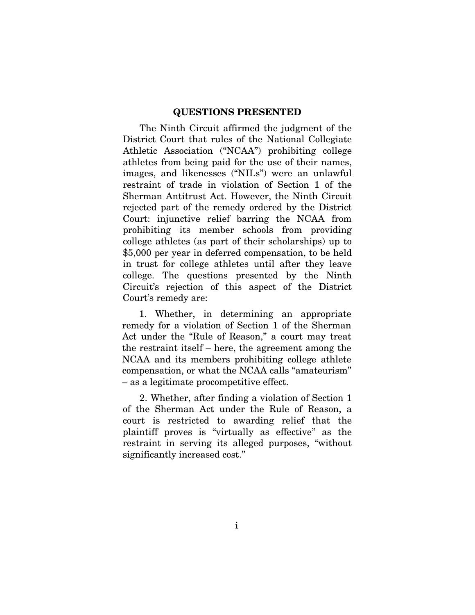### QUESTIONS PRESENTED

The Ninth Circuit affirmed the judgment of the District Court that rules of the National Collegiate Athletic Association ("NCAA") prohibiting college athletes from being paid for the use of their names, images, and likenesses ("NILs") were an unlawful restraint of trade in violation of Section 1 of the Sherman Antitrust Act. However, the Ninth Circuit rejected part of the remedy ordered by the District Court: injunctive relief barring the NCAA from prohibiting its member schools from providing college athletes (as part of their scholarships) up to \$5,000 per year in deferred compensation, to be held in trust for college athletes until after they leave college. The questions presented by the Ninth Circuit's rejection of this aspect of the District Court's remedy are:

1. Whether, in determining an appropriate remedy for a violation of Section 1 of the Sherman Act under the "Rule of Reason," a court may treat the restraint itself – here, the agreement among the NCAA and its members prohibiting college athlete compensation, or what the NCAA calls "amateurism" – as a legitimate procompetitive effect.

2. Whether, after finding a violation of Section 1 of the Sherman Act under the Rule of Reason, a court is restricted to awarding relief that the plaintiff proves is "virtually as effective" as the restraint in serving its alleged purposes, "without significantly increased cost."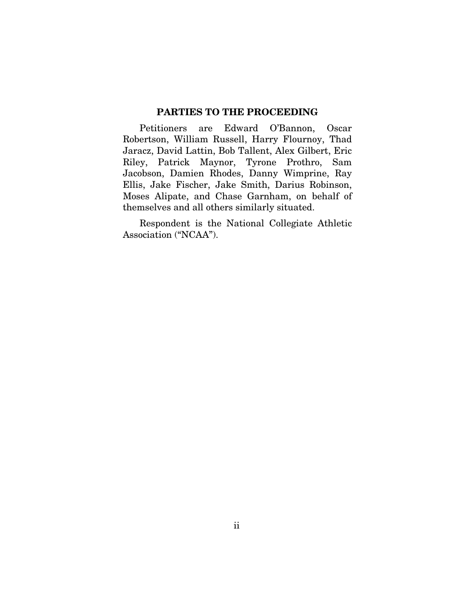## PARTIES TO THE PROCEEDING

<span id="page-2-0"></span>Petitioners are Edward O'Bannon, Oscar Robertson, William Russell, Harry Flournoy, Thad Jaracz, David Lattin, Bob Tallent, Alex Gilbert, Eric Riley, Patrick Maynor, Tyrone Prothro, Sam Jacobson, Damien Rhodes, Danny Wimprine, Ray Ellis, Jake Fischer, Jake Smith, Darius Robinson, Moses Alipate, and Chase Garnham, on behalf of themselves and all others similarly situated.

Respondent is the National Collegiate Athletic Association ("NCAA").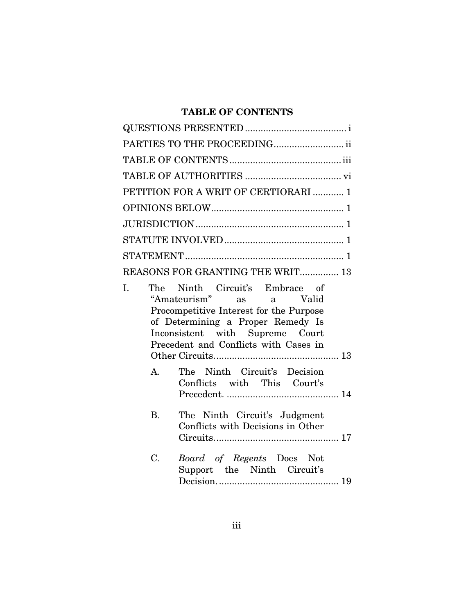## TABLE OF CONTENTS

<span id="page-3-0"></span>

|             | PARTIES TO THE PROCEEDING                                                                                                                                                                                             |
|-------------|-----------------------------------------------------------------------------------------------------------------------------------------------------------------------------------------------------------------------|
|             |                                                                                                                                                                                                                       |
|             |                                                                                                                                                                                                                       |
|             | PETITION FOR A WRIT OF CERTIORARI  1                                                                                                                                                                                  |
|             |                                                                                                                                                                                                                       |
|             |                                                                                                                                                                                                                       |
|             |                                                                                                                                                                                                                       |
|             |                                                                                                                                                                                                                       |
|             | REASONS FOR GRANTING THE WRIT 13                                                                                                                                                                                      |
| I.          | The Ninth Circuit's Embrace of<br>"Amateurism" as a Valid<br>Procompetitive Interest for the Purpose<br>of Determining a Proper Remedy Is<br>Inconsistent with Supreme Court<br>Precedent and Conflicts with Cases in |
| $A_{1}$     | The Ninth Circuit's Decision<br>Conflicts with This Court's                                                                                                                                                           |
| <b>B.</b>   | The Ninth Circuit's Judgment<br>Conflicts with Decisions in Other                                                                                                                                                     |
| $C_{\cdot}$ | Board of Regents Does Not<br>Support the Ninth Circuit's                                                                                                                                                              |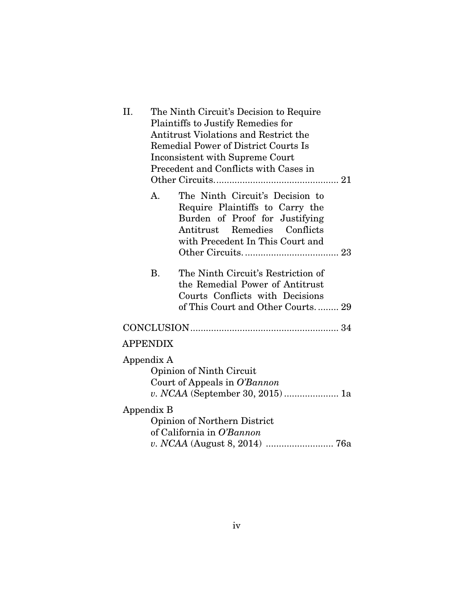| II. |                 | The Ninth Circuit's Decision to Require                                                                                                                                  |  |
|-----|-----------------|--------------------------------------------------------------------------------------------------------------------------------------------------------------------------|--|
|     |                 | Plaintiffs to Justify Remedies for                                                                                                                                       |  |
|     |                 | Antitrust Violations and Restrict the                                                                                                                                    |  |
|     |                 | <b>Remedial Power of District Courts Is</b>                                                                                                                              |  |
|     |                 | Inconsistent with Supreme Court                                                                                                                                          |  |
|     |                 | Precedent and Conflicts with Cases in                                                                                                                                    |  |
|     |                 |                                                                                                                                                                          |  |
|     | A.              | The Ninth Circuit's Decision to<br>Require Plaintiffs to Carry the<br>Burden of Proof for Justifying<br>Antitrust Remedies Conflicts<br>with Precedent In This Court and |  |
|     | <b>B.</b>       | The Ninth Circuit's Restriction of<br>the Remedial Power of Antitrust<br>Courts Conflicts with Decisions<br>of This Court and Other Courts 29                            |  |
|     |                 |                                                                                                                                                                          |  |
|     | <b>APPENDIX</b> |                                                                                                                                                                          |  |
|     | Appendix A      | Opinion of Ninth Circuit<br>Court of Appeals in O'Bannon<br>v. NCAA (September 30, 2015)  1a                                                                             |  |
|     | Appendix B      | Opinion of Northern District<br>of California in O'Bannon                                                                                                                |  |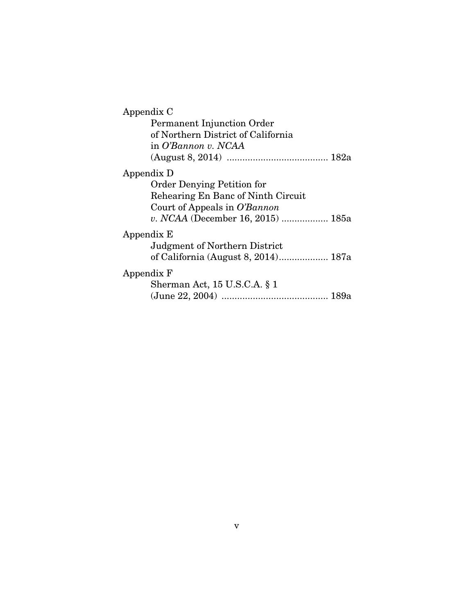| Appendix C                          |  |  |
|-------------------------------------|--|--|
| Permanent Injunction Order          |  |  |
| of Northern District of California  |  |  |
| in O'Bannon v. NCAA                 |  |  |
|                                     |  |  |
| Appendix D                          |  |  |
| <b>Order Denying Petition for</b>   |  |  |
| Rehearing En Banc of Ninth Circuit  |  |  |
| Court of Appeals in O'Bannon        |  |  |
| v. NCAA (December 16, 2015)  185a   |  |  |
| Appendix E                          |  |  |
| Judgment of Northern District       |  |  |
| of California (August 8, 2014) 187a |  |  |
| Appendix F                          |  |  |
| Sherman Act, $15$ U.S.C.A. $\S$ 1   |  |  |
|                                     |  |  |
|                                     |  |  |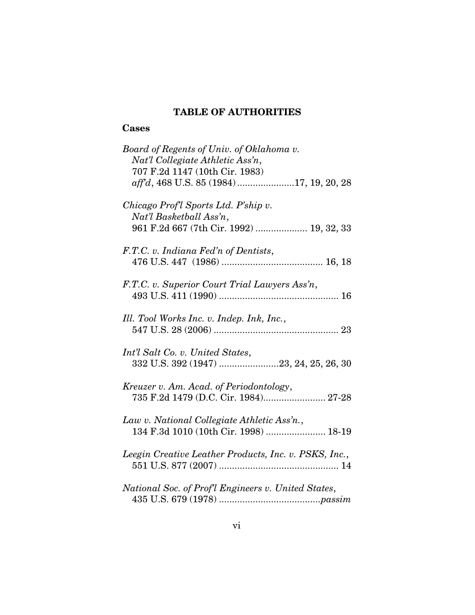## TABLE OF AUTHORITIES

## <span id="page-6-0"></span>**Cases**

| Board of Regents of Univ. of Oklahoma v.<br>Nat'l Collegiate Athletic Ass'n,<br>707 F.2d 1147 (10th Cir. 1983)<br>aff'd, 468 U.S. 85 (1984)17, 19, 20, 28 |
|-----------------------------------------------------------------------------------------------------------------------------------------------------------|
| Chicago Prof'l Sports Ltd. P'ship v.<br>Nat'l Basketball Ass'n,<br>961 F.2d 667 (7th Cir. 1992)  19, 32, 33                                               |
| F.T.C. v. Indiana Fed'n of Dentists,                                                                                                                      |
| F.T.C. v. Superior Court Trial Lawyers Ass'n,                                                                                                             |
| Ill. Tool Works Inc. v. Indep. Ink, Inc.,                                                                                                                 |
| Int'l Salt Co. v. United States,<br>332 U.S. 392 (1947) 23, 24, 25, 26, 30                                                                                |
| Kreuzer v. Am. Acad. of Periodontology,<br>735 F.2d 1479 (D.C. Cir. 1984) 27-28                                                                           |
| Law v. National Collegiate Athletic Ass'n.,<br>134 F.3d 1010 (10th Cir. 1998)  18-19                                                                      |
| Leegin Creative Leather Products, Inc. v. PSKS, Inc.,                                                                                                     |
| National Soc. of Profl Engineers v. United States,                                                                                                        |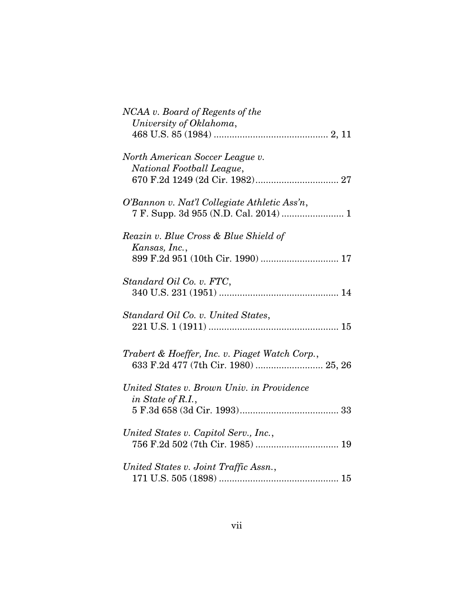| NCAA v. Board of Regents of the<br>University of Oklahoma,                                  |
|---------------------------------------------------------------------------------------------|
| North American Soccer League v.<br>National Football League,                                |
| O'Bannon v. Nat'l Collegiate Athletic Ass'n,                                                |
| Reazin v. Blue Cross & Blue Shield of<br>Kansas, Inc.,<br>899 F.2d 951 (10th Cir. 1990)  17 |
| Standard Oil Co. v. FTC,                                                                    |
| Standard Oil Co. v. United States,                                                          |
| Trabert & Hoeffer, Inc. v. Piaget Watch Corp.,<br>633 F.2d 477 (7th Cir. 1980)  25, 26      |
| United States v. Brown Univ. in Providence<br>in State of R.I.,                             |
| United States v. Capitol Serv., Inc.,                                                       |
| United States v. Joint Traffic Assn.,                                                       |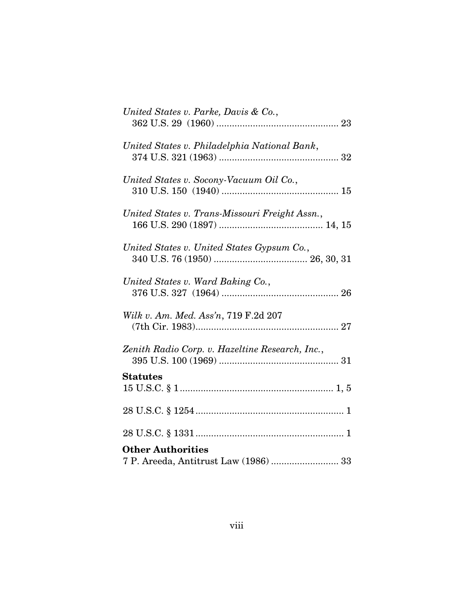| United States v. Parke, Davis & Co.,                              |
|-------------------------------------------------------------------|
| United States v. Philadelphia National Bank,                      |
| United States v. Socony-Vacuum Oil Co.,                           |
| United States v. Trans-Missouri Freight Assn.,                    |
| United States v. United States Gypsum Co.,                        |
| United States v. Ward Baking Co.,                                 |
| Wilk v. Am. Med. Ass'n, 719 F.2d 207                              |
| Zenith Radio Corp. v. Hazeltine Research, Inc.,                   |
| <b>Statutes</b>                                                   |
|                                                                   |
|                                                                   |
| <b>Other Authorities</b><br>7 P. Areeda, Antitrust Law (1986)  33 |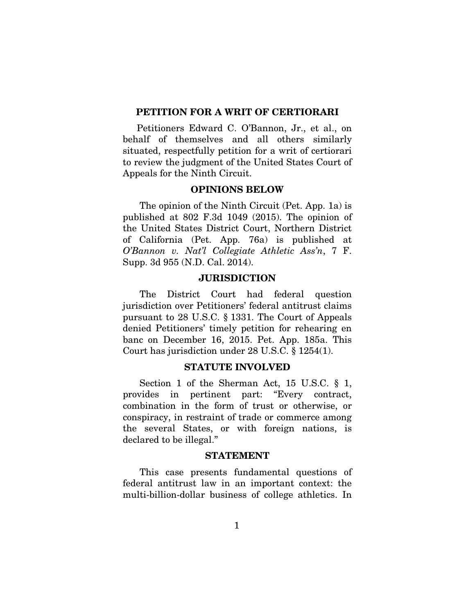### <span id="page-9-0"></span>PETITION FOR A WRIT OF CERTIORARI

Petitioners Edward C. O'Bannon, Jr., et al., on behalf of themselves and all others similarly situated, respectfully petition for a writ of certiorari to review the judgment of the United States Court of Appeals for the Ninth Circuit.

## OPINIONS BELOW

<span id="page-9-1"></span>The opinion of the Ninth Circuit (Pet. App. 1a) is published at 802 F.3d 1049 (2015). The opinion of the United States District Court, Northern District of California (Pet. App. 76a) is published at *O'Bannon v. Nat'l Collegiate Athletic Ass'n*, 7 F. Supp. 3d 955 (N.D. Cal. 2014).

### **JURISDICTION**

<span id="page-9-2"></span>The District Court had federal question jurisdiction over Petitioners' federal antitrust claims pursuant to 28 U.S.C. § 1331. The Court of Appeals denied Petitioners' timely petition for rehearing en banc on December 16, 2015. Pet. App. 185a. This Court has jurisdiction under 28 U.S.C. § 1254(1).

### STATUTE INVOLVED

<span id="page-9-3"></span>Section 1 of the Sherman Act, 15 U.S.C. § 1, provides in pertinent part: "Every contract, combination in the form of trust or otherwise, or conspiracy, in restraint of trade or commerce among the several States, or with foreign nations, is declared to be illegal."

#### STATEMENT

<span id="page-9-4"></span>This case presents fundamental questions of federal antitrust law in an important context: the multi-billion-dollar business of college athletics. In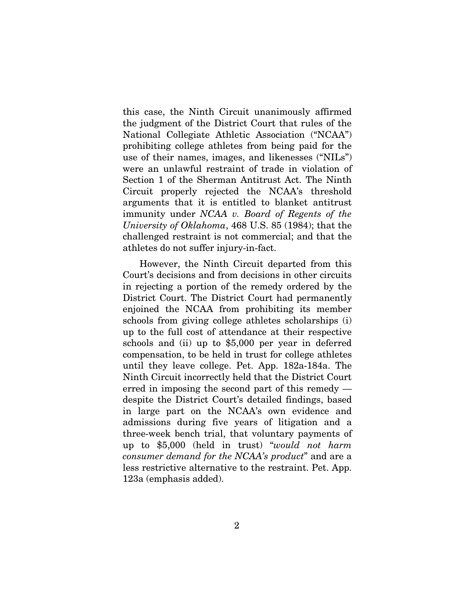this case, the Ninth Circuit unanimously affirmed the judgment of the District Court that rules of the National Collegiate Athletic Association ("NCAA") prohibiting college athletes from being paid for the use of their names, images, and likenesses ("NILs") were an unlawful restraint of trade in violation of Section 1 of the Sherman Antitrust Act. The Ninth Circuit properly rejected the NCAA's threshold arguments that it is entitled to blanket antitrust immunity under *NCAA v. Board of Regents of the University of Oklahoma*, 468 U.S. 85 (1984); that the challenged restraint is not commercial; and that the athletes do not suffer injury-in-fact.

However, the Ninth Circuit departed from this Court's decisions and from decisions in other circuits in rejecting a portion of the remedy ordered by the District Court. The District Court had permanently enjoined the NCAA from prohibiting its member schools from giving college athletes scholarships (i) up to the full cost of attendance at their respective schools and (ii) up to \$5,000 per year in deferred compensation, to be held in trust for college athletes until they leave college. Pet. App. 182a-184a. The Ninth Circuit incorrectly held that the District Court erred in imposing the second part of this remedy despite the District Court's detailed findings, based in large part on the NCAA's own evidence and admissions during five years of litigation and a three-week bench trial, that voluntary payments of up to \$5,000 (held in trust) "*would not harm consumer demand for the NCAA's product*" and are a less restrictive alternative to the restraint. Pet. App. 123a (emphasis added).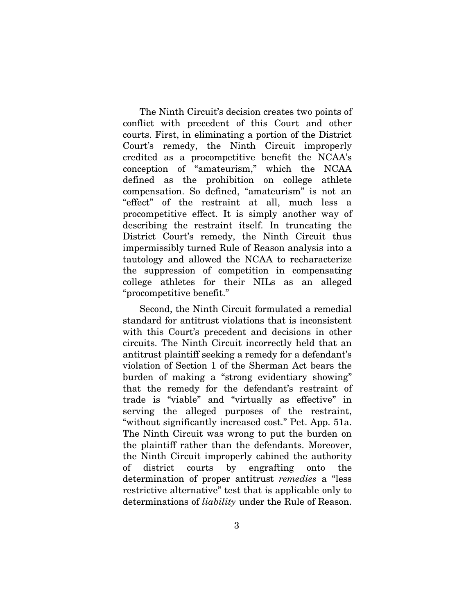The Ninth Circuit's decision creates two points of conflict with precedent of this Court and other courts. First, in eliminating a portion of the District Court's remedy, the Ninth Circuit improperly credited as a procompetitive benefit the NCAA's conception of "amateurism," which the NCAA defined as the prohibition on college athlete compensation. So defined, "amateurism" is not an "effect" of the restraint at all, much less a procompetitive effect. It is simply another way of describing the restraint itself. In truncating the District Court's remedy, the Ninth Circuit thus impermissibly turned Rule of Reason analysis into a tautology and allowed the NCAA to recharacterize the suppression of competition in compensating college athletes for their NILs as an alleged "procompetitive benefit."

Second, the Ninth Circuit formulated a remedial standard for antitrust violations that is inconsistent with this Court's precedent and decisions in other circuits. The Ninth Circuit incorrectly held that an antitrust plaintiff seeking a remedy for a defendant's violation of Section 1 of the Sherman Act bears the burden of making a "strong evidentiary showing" that the remedy for the defendant's restraint of trade is "viable" and "virtually as effective" in serving the alleged purposes of the restraint, "without significantly increased cost." Pet. App. 51a. The Ninth Circuit was wrong to put the burden on the plaintiff rather than the defendants. Moreover, the Ninth Circuit improperly cabined the authority of district courts by engrafting onto the determination of proper antitrust *remedies* a "less restrictive alternative" test that is applicable only to determinations of *liability* under the Rule of Reason.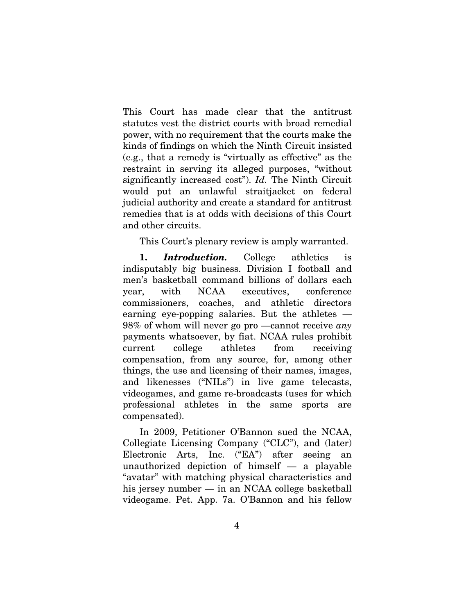This Court has made clear that the antitrust statutes vest the district courts with broad remedial power, with no requirement that the courts make the kinds of findings on which the Ninth Circuit insisted (e.g., that a remedy is "virtually as effective" as the restraint in serving its alleged purposes, "without significantly increased cost"). *Id.* The Ninth Circuit would put an unlawful straitjacket on federal judicial authority and create a standard for antitrust remedies that is at odds with decisions of this Court and other circuits.

This Court's plenary review is amply warranted.

1. *Introduction.* College athletics is indisputably big business. Division I football and men's basketball command billions of dollars each year, with NCAA executives, conference commissioners, coaches, and athletic directors earning eye-popping salaries. But the athletes  $-$ 98% of whom will never go pro —cannot receive *any* payments whatsoever, by fiat. NCAA rules prohibit current college athletes from receiving compensation, from any source, for, among other things, the use and licensing of their names, images, and likenesses ("NILs") in live game telecasts, videogames, and game re-broadcasts (uses for which professional athletes in the same sports are compensated).

In 2009, Petitioner O'Bannon sued the NCAA, Collegiate Licensing Company ("CLC"), and (later) Electronic Arts, Inc. ("EA") after seeing an unauthorized depiction of himself — a playable "avatar" with matching physical characteristics and his jersey number — in an NCAA college basketball videogame. Pet. App. 7a. O'Bannon and his fellow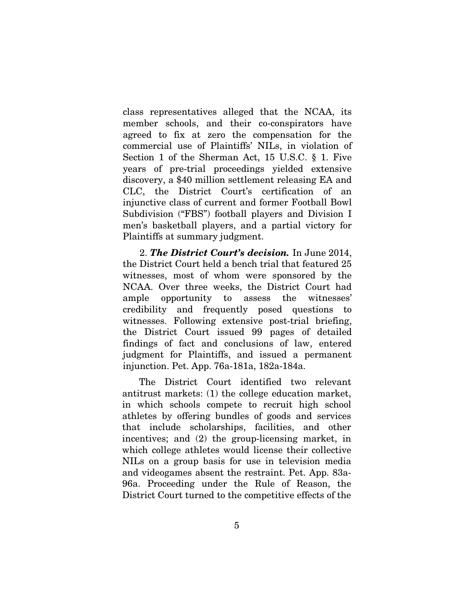class representatives alleged that the NCAA, its member schools, and their co-conspirators have agreed to fix at zero the compensation for the commercial use of Plaintiffs' NILs, in violation of Section 1 of the Sherman Act, 15 U.S.C. § 1. Five years of pre-trial proceedings yielded extensive discovery, a \$40 million settlement releasing EA and CLC, the District Court's certification of an injunctive class of current and former Football Bowl Subdivision ("FBS") football players and Division I men's basketball players, and a partial victory for Plaintiffs at summary judgment.

2. *The District Court's decision.* In June 2014, the District Court held a bench trial that featured 25 witnesses, most of whom were sponsored by the NCAA. Over three weeks, the District Court had ample opportunity to assess the witnesses' credibility and frequently posed questions to witnesses. Following extensive post-trial briefing, the District Court issued 99 pages of detailed findings of fact and conclusions of law, entered judgment for Plaintiffs, and issued a permanent injunction. Pet. App. 76a-181a, 182a-184a.

The District Court identified two relevant antitrust markets: (1) the college education market, in which schools compete to recruit high school athletes by offering bundles of goods and services that include scholarships, facilities, and other incentives; and (2) the group-licensing market, in which college athletes would license their collective NILs on a group basis for use in television media and videogames absent the restraint. Pet. App. 83a-96a. Proceeding under the Rule of Reason, the District Court turned to the competitive effects of the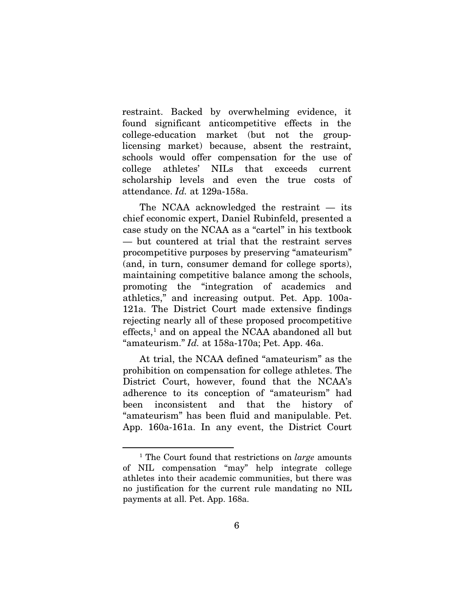restraint. Backed by overwhelming evidence, it found significant anticompetitive effects in the college-education market (but not the grouplicensing market) because, absent the restraint, schools would offer compensation for the use of college athletes' NILs that exceeds current scholarship levels and even the true costs of attendance. *Id.* at 129a-158a.

The NCAA acknowledged the restraint — its chief economic expert, Daniel Rubinfeld, presented a case study on the NCAA as a "cartel" in his textbook — but countered at trial that the restraint serves procompetitive purposes by preserving "amateurism" (and, in turn, consumer demand for college sports), maintaining competitive balance among the schools, promoting the "integration of academics and athletics," and increasing output. Pet. App. 100a-121a. The District Court made extensive findings rejecting nearly all of these proposed procompetitive  $effects<sup>1</sup>$  $effects<sup>1</sup>$  $effects<sup>1</sup>$  and on appeal the NCAA abandoned all but "amateurism." *Id.* at 158a-170a; Pet. App. 46a.

At trial, the NCAA defined "amateurism" as the prohibition on compensation for college athletes. The District Court, however, found that the NCAA's adherence to its conception of "amateurism" had been inconsistent and that the history of "amateurism" has been fluid and manipulable. Pet. App. 160a-161a. In any event, the District Court

<span id="page-14-0"></span> $\overline{a}$ 

<sup>1</sup> The Court found that restrictions on *large* amounts of NIL compensation "may" help integrate college athletes into their academic communities, but there was no justification for the current rule mandating no NIL payments at all. Pet. App. 168a.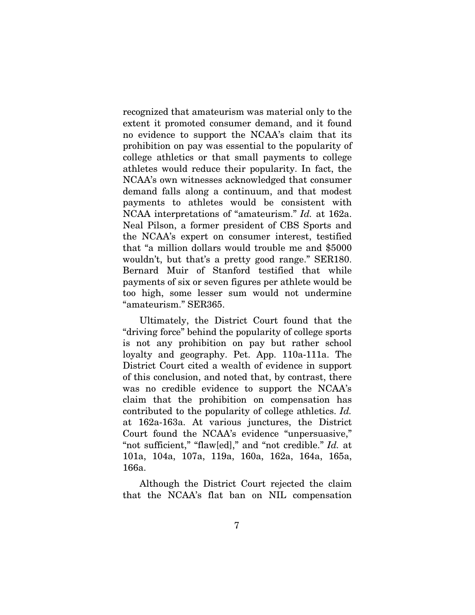recognized that amateurism was material only to the extent it promoted consumer demand, and it found no evidence to support the NCAA's claim that its prohibition on pay was essential to the popularity of college athletics or that small payments to college athletes would reduce their popularity. In fact, the NCAA's own witnesses acknowledged that consumer demand falls along a continuum, and that modest payments to athletes would be consistent with NCAA interpretations of "amateurism." *Id.* at 162a. Neal Pilson, a former president of CBS Sports and the NCAA's expert on consumer interest, testified that "a million dollars would trouble me and \$5000 wouldn't, but that's a pretty good range." SER180. Bernard Muir of Stanford testified that while payments of six or seven figures per athlete would be too high, some lesser sum would not undermine "amateurism." SER365.

Ultimately, the District Court found that the "driving force" behind the popularity of college sports is not any prohibition on pay but rather school loyalty and geography. Pet. App. 110a-111a. The District Court cited a wealth of evidence in support of this conclusion, and noted that, by contrast, there was no credible evidence to support the NCAA's claim that the prohibition on compensation has contributed to the popularity of college athletics. *Id.* at 162a-163a. At various junctures, the District Court found the NCAA's evidence "unpersuasive," "not sufficient," "flaw[ed]," and "not credible." *Id.* at 101a, 104a, 107a, 119a, 160a, 162a, 164a, 165a, 166a.

Although the District Court rejected the claim that the NCAA's flat ban on NIL compensation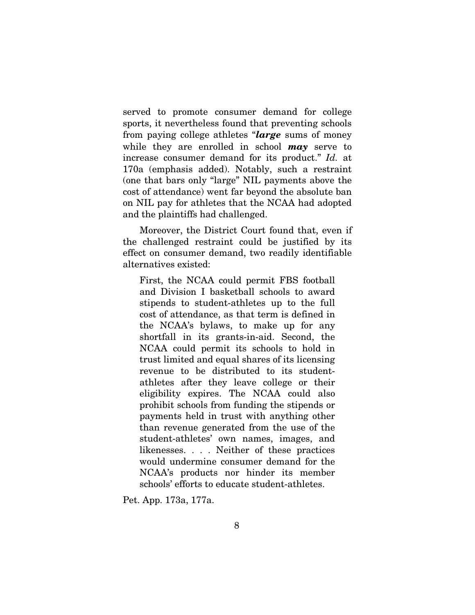served to promote consumer demand for college sports, it nevertheless found that preventing schools from paying college athletes "*large* sums of money while they are enrolled in school *may* serve to increase consumer demand for its product." *Id.* at 170a (emphasis added). Notably, such a restraint (one that bars only "large" NIL payments above the cost of attendance) went far beyond the absolute ban on NIL pay for athletes that the NCAA had adopted and the plaintiffs had challenged.

Moreover, the District Court found that, even if the challenged restraint could be justified by its effect on consumer demand, two readily identifiable alternatives existed:

First, the NCAA could permit FBS football and Division I basketball schools to award stipends to student-athletes up to the full cost of attendance, as that term is defined in the NCAA's bylaws, to make up for any shortfall in its grants-in-aid. Second, the NCAA could permit its schools to hold in trust limited and equal shares of its licensing revenue to be distributed to its studentathletes after they leave college or their eligibility expires. The NCAA could also prohibit schools from funding the stipends or payments held in trust with anything other than revenue generated from the use of the student-athletes' own names, images, and likenesses. . . . Neither of these practices would undermine consumer demand for the NCAA's products nor hinder its member schools' efforts to educate student-athletes.

Pet. App. 173a, 177a.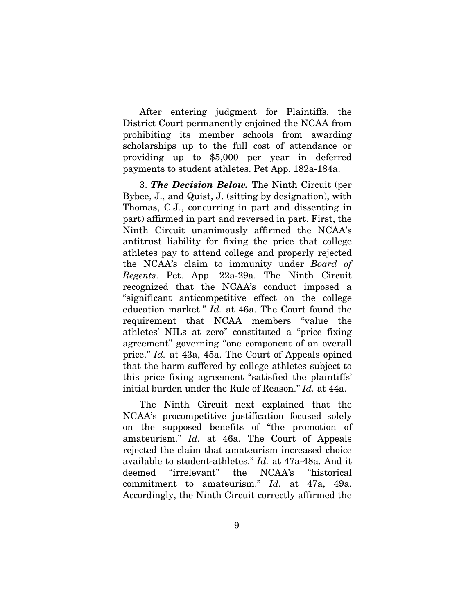After entering judgment for Plaintiffs, the District Court permanently enjoined the NCAA from prohibiting its member schools from awarding scholarships up to the full cost of attendance or providing up to \$5,000 per year in deferred payments to student athletes. Pet App. 182a-184a.

3. *The Decision Below.* The Ninth Circuit (per Bybee, J., and Quist, J. (sitting by designation), with Thomas, C.J., concurring in part and dissenting in part) affirmed in part and reversed in part. First, the Ninth Circuit unanimously affirmed the NCAA's antitrust liability for fixing the price that college athletes pay to attend college and properly rejected the NCAA's claim to immunity under *Board of Regents*. Pet. App. 22a-29a. The Ninth Circuit recognized that the NCAA's conduct imposed a "significant anticompetitive effect on the college education market." *Id.* at 46a. The Court found the requirement that NCAA members "value the athletes' NILs at zero" constituted a "price fixing agreement" governing "one component of an overall price." *Id.* at 43a, 45a. The Court of Appeals opined that the harm suffered by college athletes subject to this price fixing agreement "satisfied the plaintiffs' initial burden under the Rule of Reason." *Id.* at 44a.

The Ninth Circuit next explained that the NCAA's procompetitive justification focused solely on the supposed benefits of "the promotion of amateurism." *Id.* at 46a. The Court of Appeals rejected the claim that amateurism increased choice available to student-athletes." *Id.* at 47a-48a. And it deemed "irrelevant" the NCAA's "historical commitment to amateurism." *Id.* at 47a, 49a. Accordingly, the Ninth Circuit correctly affirmed the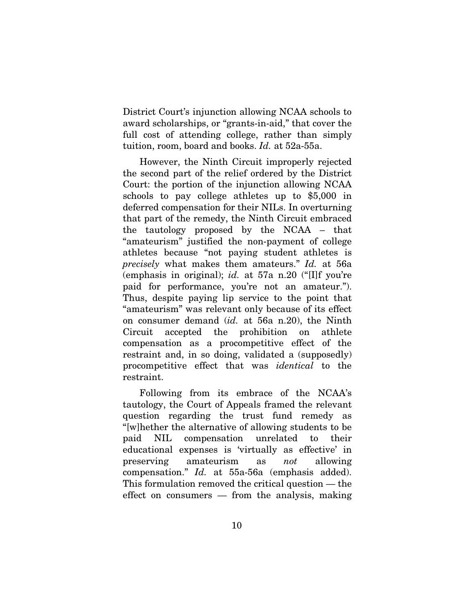District Court's injunction allowing NCAA schools to award scholarships, or "grants-in-aid," that cover the full cost of attending college, rather than simply tuition, room, board and books. *Id.* at 52a-55a.

However, the Ninth Circuit improperly rejected the second part of the relief ordered by the District Court: the portion of the injunction allowing NCAA schools to pay college athletes up to \$5,000 in deferred compensation for their NILs. In overturning that part of the remedy, the Ninth Circuit embraced the tautology proposed by the NCAA – that "amateurism" justified the non-payment of college athletes because "not paying student athletes is *precisely* what makes them amateurs." *Id.* at 56a (emphasis in original); *id.* at 57a n.20 ("[I]f you're paid for performance, you're not an amateur."). Thus, despite paying lip service to the point that "amateurism" was relevant only because of its effect on consumer demand (*id.* at 56a n.20), the Ninth Circuit accepted the prohibition on athlete compensation as a procompetitive effect of the restraint and, in so doing, validated a (supposedly) procompetitive effect that was *identical* to the restraint.

Following from its embrace of the NCAA's tautology, the Court of Appeals framed the relevant question regarding the trust fund remedy as "[w]hether the alternative of allowing students to be paid NIL compensation unrelated to their educational expenses is 'virtually as effective' in preserving amateurism as *not* allowing compensation." *Id.* at 55a-56a (emphasis added). This formulation removed the critical question — the effect on consumers — from the analysis, making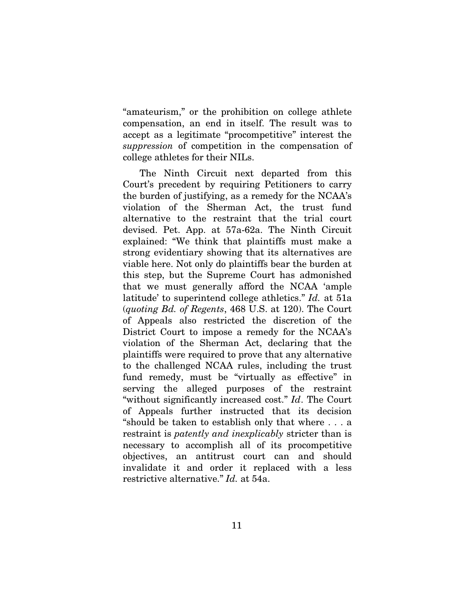"amateurism," or the prohibition on college athlete compensation, an end in itself. The result was to accept as a legitimate "procompetitive" interest the *suppression* of competition in the compensation of college athletes for their NILs.

The Ninth Circuit next departed from this Court's precedent by requiring Petitioners to carry the burden of justifying, as a remedy for the NCAA's violation of the Sherman Act, the trust fund alternative to the restraint that the trial court devised. Pet. App. at 57a-62a. The Ninth Circuit explained: "We think that plaintiffs must make a strong evidentiary showing that its alternatives are viable here. Not only do plaintiffs bear the burden at this step, but the Supreme Court has admonished that we must generally afford the NCAA 'ample latitude' to superintend college athletics." *Id.* at 51a (*quoting Bd. of Regents*, 468 U.S. at 120). The Court of Appeals also restricted the discretion of the District Court to impose a remedy for the NCAA's violation of the Sherman Act, declaring that the plaintiffs were required to prove that any alternative to the challenged NCAA rules, including the trust fund remedy, must be "virtually as effective" in serving the alleged purposes of the restraint "without significantly increased cost." *Id*. The Court of Appeals further instructed that its decision "should be taken to establish only that where . . . a restraint is *patently and inexplicably* stricter than is necessary to accomplish all of its procompetitive objectives, an antitrust court can and should invalidate it and order it replaced with a less restrictive alternative." *Id.* at 54a.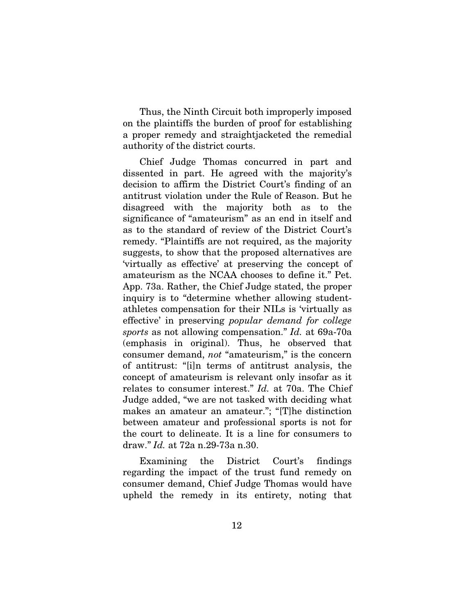Thus, the Ninth Circuit both improperly imposed on the plaintiffs the burden of proof for establishing a proper remedy and straightjacketed the remedial authority of the district courts.

Chief Judge Thomas concurred in part and dissented in part. He agreed with the majority's decision to affirm the District Court's finding of an antitrust violation under the Rule of Reason. But he disagreed with the majority both as to the significance of "amateurism" as an end in itself and as to the standard of review of the District Court's remedy. "Plaintiffs are not required, as the majority suggests, to show that the proposed alternatives are 'virtually as effective' at preserving the concept of amateurism as the NCAA chooses to define it." Pet. App. 73a. Rather, the Chief Judge stated, the proper inquiry is to "determine whether allowing studentathletes compensation for their NILs is 'virtually as effective' in preserving *popular demand for college sports* as not allowing compensation." *Id.* at 69a-70a (emphasis in original). Thus, he observed that consumer demand, *not* "amateurism," is the concern of antitrust: "[i]n terms of antitrust analysis, the concept of amateurism is relevant only insofar as it relates to consumer interest." *Id.* at 70a. The Chief Judge added, "we are not tasked with deciding what makes an amateur an amateur."; "[T]he distinction between amateur and professional sports is not for the court to delineate. It is a line for consumers to draw." *Id.* at 72a n.29-73a n.30.

Examining the District Court's findings regarding the impact of the trust fund remedy on consumer demand, Chief Judge Thomas would have upheld the remedy in its entirety, noting that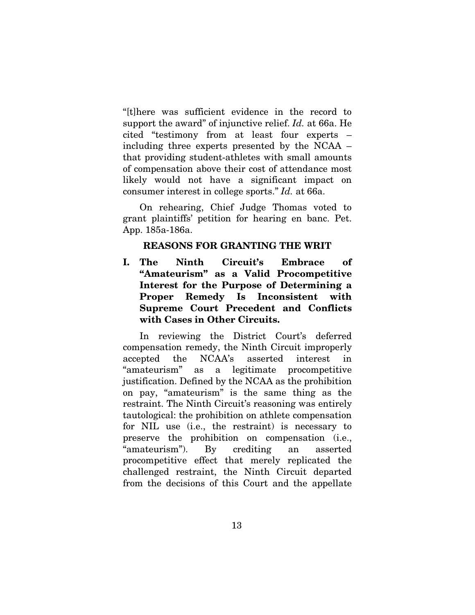"[t]here was sufficient evidence in the record to support the award" of injunctive relief. *Id.* at 66a. He cited "testimony from at least four experts – including three experts presented by the NCAA – that providing student-athletes with small amounts of compensation above their cost of attendance most likely would not have a significant impact on consumer interest in college sports." *Id.* at 66a.

On rehearing, Chief Judge Thomas voted to grant plaintiffs' petition for hearing en banc. Pet. App. 185a-186a.

## REASONS FOR GRANTING THE WRIT

<span id="page-21-1"></span><span id="page-21-0"></span>I. The Ninth Circuit's Embrace of "Amateurism" as a Valid Procompetitive Interest for the Purpose of Determining a Proper Remedy Is Inconsistent with Supreme Court Precedent and Conflicts with Cases in Other Circuits.

In reviewing the District Court's deferred compensation remedy, the Ninth Circuit improperly accepted the NCAA's asserted interest in "amateurism" as a legitimate procompetitive justification. Defined by the NCAA as the prohibition on pay, "amateurism" is the same thing as the restraint. The Ninth Circuit's reasoning was entirely tautological: the prohibition on athlete compensation for NIL use (i.e., the restraint) is necessary to preserve the prohibition on compensation (i.e., "amateurism"). By crediting an asserted procompetitive effect that merely replicated the challenged restraint, the Ninth Circuit departed from the decisions of this Court and the appellate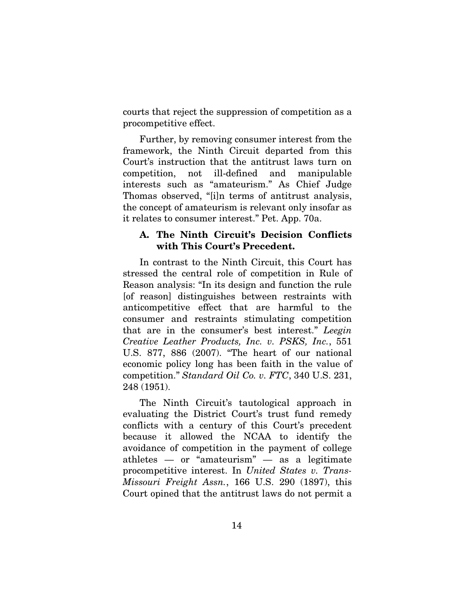courts that reject the suppression of competition as a procompetitive effect.

Further, by removing consumer interest from the framework, the Ninth Circuit departed from this Court's instruction that the antitrust laws turn on competition, not ill-defined and manipulable interests such as "amateurism." As Chief Judge Thomas observed, "[i]n terms of antitrust analysis, the concept of amateurism is relevant only insofar as it relates to consumer interest." Pet. App. 70a.

## <span id="page-22-0"></span>A. The Ninth Circuit's Decision Conflicts with This Court's Precedent.

In contrast to the Ninth Circuit, this Court has stressed the central role of competition in Rule of Reason analysis: "In its design and function the rule [of reason] distinguishes between restraints with anticompetitive effect that are harmful to the consumer and restraints stimulating competition that are in the consumer's best interest." *Leegin Creative Leather Products, Inc. v. PSKS, Inc.*, 551 U.S. 877, 886 (2007). "The heart of our national economic policy long has been faith in the value of competition." *Standard Oil Co. v. FTC*, 340 U.S. 231, 248 (1951).

The Ninth Circuit's tautological approach in evaluating the District Court's trust fund remedy conflicts with a century of this Court's precedent because it allowed the NCAA to identify the avoidance of competition in the payment of college athletes — or "amateurism" — as a legitimate procompetitive interest. In *United States v. Trans-Missouri Freight Assn.*, 166 U.S. 290 (1897), this Court opined that the antitrust laws do not permit a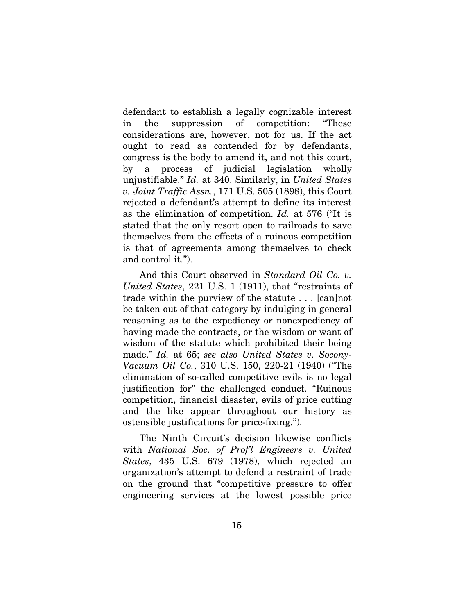defendant to establish a legally cognizable interest in the suppression of competition: "These considerations are, however, not for us. If the act ought to read as contended for by defendants, congress is the body to amend it, and not this court, by a process of judicial legislation wholly unjustifiable." *Id.* at 340. Similarly, in *United States v. Joint Traffic Assn.*, 171 U.S. 505 (1898), this Court rejected a defendant's attempt to define its interest as the elimination of competition. *Id.* at 576 ("It is stated that the only resort open to railroads to save themselves from the effects of a ruinous competition is that of agreements among themselves to check and control it.").

And this Court observed in *Standard Oil Co. v. United States*, 221 U.S. 1 (1911), that "restraints of trade within the purview of the statute . . . [can]not be taken out of that category by indulging in general reasoning as to the expediency or nonexpediency of having made the contracts, or the wisdom or want of wisdom of the statute which prohibited their being made." *Id.* at 65; *see also United States v. Socony-Vacuum Oil Co.*, 310 U.S. 150, 220-21 (1940) ("The elimination of so-called competitive evils is no legal justification for" the challenged conduct. "Ruinous competition, financial disaster, evils of price cutting and the like appear throughout our history as ostensible justifications for price-fixing.").

The Ninth Circuit's decision likewise conflicts with *National Soc. of Prof'l Engineers v. United States*, 435 U.S. 679 (1978), which rejected an organization's attempt to defend a restraint of trade on the ground that "competitive pressure to offer engineering services at the lowest possible price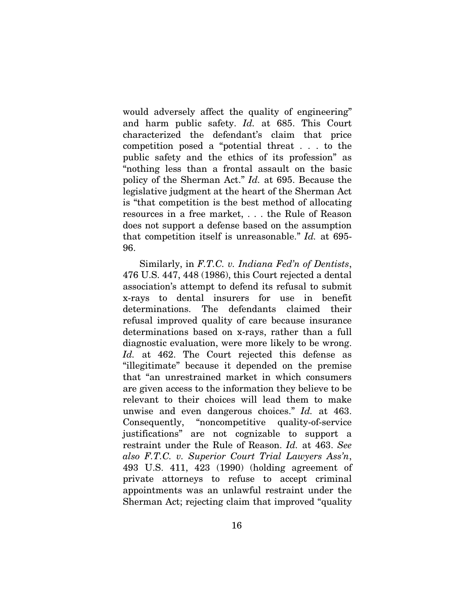would adversely affect the quality of engineering" and harm public safety. *Id.* at 685. This Court characterized the defendant's claim that price competition posed a "potential threat . . . to the public safety and the ethics of its profession" as "nothing less than a frontal assault on the basic policy of the Sherman Act." *Id.* at 695. Because the legislative judgment at the heart of the Sherman Act is "that competition is the best method of allocating resources in a free market, . . . the Rule of Reason does not support a defense based on the assumption that competition itself is unreasonable." *Id.* at 695- 96.

Similarly, in *F.T.C. v. Indiana Fed'n of Dentists*, 476 U.S. 447, 448 (1986), this Court rejected a dental association's attempt to defend its refusal to submit x-rays to dental insurers for use in benefit determinations. The defendants claimed their refusal improved quality of care because insurance determinations based on x-rays, rather than a full diagnostic evaluation, were more likely to be wrong. *Id.* at 462. The Court rejected this defense as "illegitimate" because it depended on the premise that "an unrestrained market in which consumers are given access to the information they believe to be relevant to their choices will lead them to make unwise and even dangerous choices." *Id.* at 463. Consequently, "noncompetitive quality-of-service justifications" are not cognizable to support a restraint under the Rule of Reason. *Id.* at 463. *See also F.T.C. v. Superior Court Trial Lawyers Ass'n*, 493 U.S. 411, 423 (1990) (holding agreement of private attorneys to refuse to accept criminal appointments was an unlawful restraint under the Sherman Act; rejecting claim that improved "quality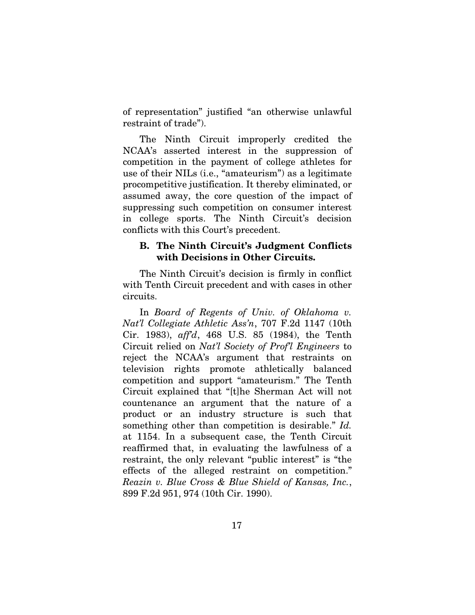of representation" justified "an otherwise unlawful restraint of trade").

The Ninth Circuit improperly credited the NCAA's asserted interest in the suppression of competition in the payment of college athletes for use of their NILs (i.e., "amateurism") as a legitimate procompetitive justification. It thereby eliminated, or assumed away, the core question of the impact of suppressing such competition on consumer interest in college sports. The Ninth Circuit's decision conflicts with this Court's precedent.

## <span id="page-25-0"></span>B. The Ninth Circuit's Judgment Conflicts with Decisions in Other Circuits.

The Ninth Circuit's decision is firmly in conflict with Tenth Circuit precedent and with cases in other circuits.

In *Board of Regents of Univ. of Oklahoma v. Nat'l Collegiate Athletic Ass'n*, 707 F.2d 1147 (10th Cir. 1983), *aff'd*, 468 U.S. 85 (1984), the Tenth Circuit relied on *Nat'l Society of Prof'l Engineers* to reject the NCAA's argument that restraints on television rights promote athletically balanced competition and support "amateurism." The Tenth Circuit explained that "[t]he Sherman Act will not countenance an argument that the nature of a product or an industry structure is such that something other than competition is desirable." *Id.* at 1154. In a subsequent case, the Tenth Circuit reaffirmed that, in evaluating the lawfulness of a restraint, the only relevant "public interest" is "the effects of the alleged restraint on competition." *Reazin v. Blue Cross & Blue Shield of Kansas, Inc.*, 899 F.2d 951, 974 (10th Cir. 1990).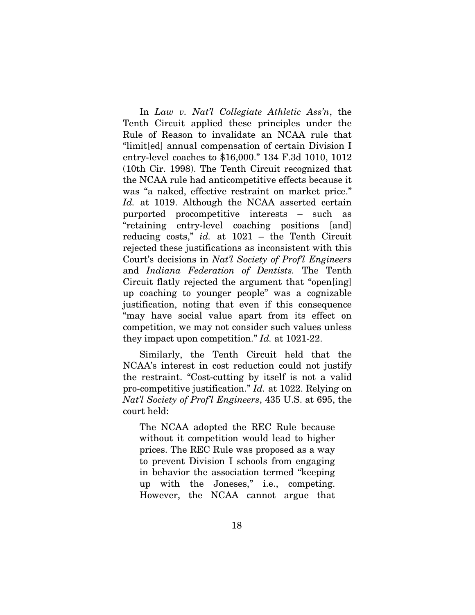In *Law v. Nat'l Collegiate Athletic Ass'n*, the Tenth Circuit applied these principles under the Rule of Reason to invalidate an NCAA rule that "limit[ed] annual compensation of certain Division I entry-level coaches to \$16,000." 134 F.3d 1010, 1012 (10th Cir. 1998). The Tenth Circuit recognized that the NCAA rule had anticompetitive effects because it was "a naked, effective restraint on market price." *Id.* at 1019. Although the NCAA asserted certain purported procompetitive interests – such as "retaining entry-level coaching positions [and] reducing costs," *id.* at 1021 – the Tenth Circuit rejected these justifications as inconsistent with this Court's decisions in *Nat'l Society of Prof'l Engineers*  and *Indiana Federation of Dentists.* The Tenth Circuit flatly rejected the argument that "open[ing] up coaching to younger people" was a cognizable justification, noting that even if this consequence "may have social value apart from its effect on competition, we may not consider such values unless they impact upon competition." *Id.* at 1021-22.

Similarly, the Tenth Circuit held that the NCAA's interest in cost reduction could not justify the restraint. "Cost-cutting by itself is not a valid pro-competitive justification." *Id.* at 1022. Relying on *Nat'l Society of Prof'l Engineers*, 435 U.S. at 695, the court held:

The NCAA adopted the REC Rule because without it competition would lead to higher prices. The REC Rule was proposed as a way to prevent Division I schools from engaging in behavior the association termed "keeping up with the Joneses," i.e., competing. However, the NCAA cannot argue that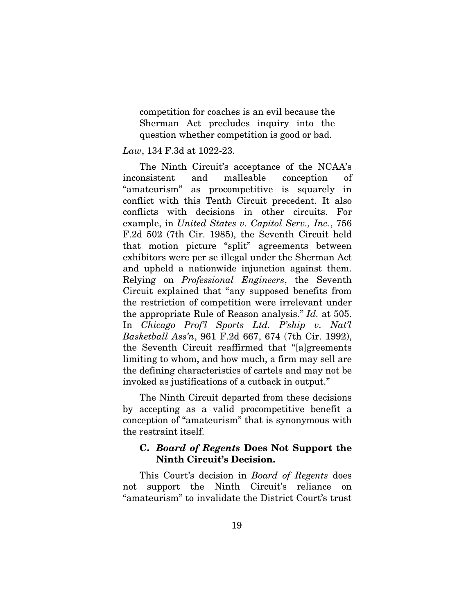competition for coaches is an evil because the Sherman Act precludes inquiry into the question whether competition is good or bad.

### *Law*, 134 F.3d at 1022-23.

The Ninth Circuit's acceptance of the NCAA's inconsistent and malleable conception of "amateurism" as procompetitive is squarely in conflict with this Tenth Circuit precedent. It also conflicts with decisions in other circuits. For example, in *United States v. Capitol Serv., Inc.*, 756 F.2d 502 (7th Cir. 1985), the Seventh Circuit held that motion picture "split" agreements between exhibitors were per se illegal under the Sherman Act and upheld a nationwide injunction against them. Relying on *Professional Engineers*, the Seventh Circuit explained that "any supposed benefits from the restriction of competition were irrelevant under the appropriate Rule of Reason analysis." *Id.* at 505. In *Chicago Prof'l Sports Ltd. P'ship v. Nat'l Basketball Ass'n*, 961 F.2d 667, 674 (7th Cir. 1992), the Seventh Circuit reaffirmed that "[a]greements limiting to whom, and how much, a firm may sell are the defining characteristics of cartels and may not be invoked as justifications of a cutback in output."

The Ninth Circuit departed from these decisions by accepting as a valid procompetitive benefit a conception of "amateurism" that is synonymous with the restraint itself.

## <span id="page-27-0"></span>C. *Board of Regents* Does Not Support the Ninth Circuit's Decision.

This Court's decision in *Board of Regents* does not support the Ninth Circuit's reliance on "amateurism" to invalidate the District Court's trust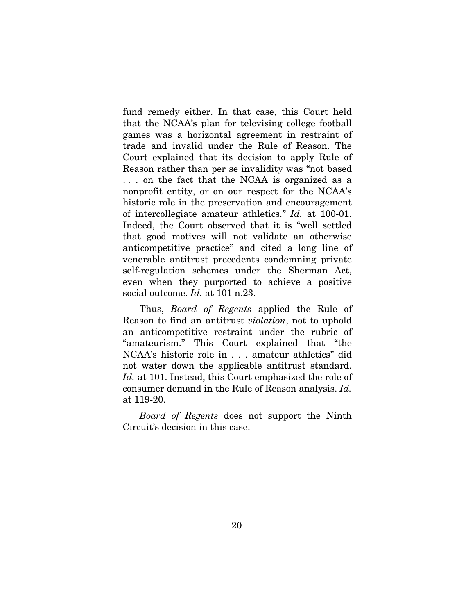fund remedy either. In that case, this Court held that the NCAA's plan for televising college football games was a horizontal agreement in restraint of trade and invalid under the Rule of Reason. The Court explained that its decision to apply Rule of Reason rather than per se invalidity was "not based . . . on the fact that the NCAA is organized as a nonprofit entity, or on our respect for the NCAA's historic role in the preservation and encouragement of intercollegiate amateur athletics." *Id.* at 100-01. Indeed, the Court observed that it is "well settled that good motives will not validate an otherwise anticompetitive practice" and cited a long line of venerable antitrust precedents condemning private self-regulation schemes under the Sherman Act, even when they purported to achieve a positive social outcome. *Id.* at 101 n.23.

Thus, *Board of Regents* applied the Rule of Reason to find an antitrust *violation*, not to uphold an anticompetitive restraint under the rubric of "amateurism." This Court explained that "the NCAA's historic role in . . . amateur athletics" did not water down the applicable antitrust standard. *Id.* at 101. Instead, this Court emphasized the role of consumer demand in the Rule of Reason analysis. *Id.* at 119-20.

*Board of Regents* does not support the Ninth Circuit's decision in this case.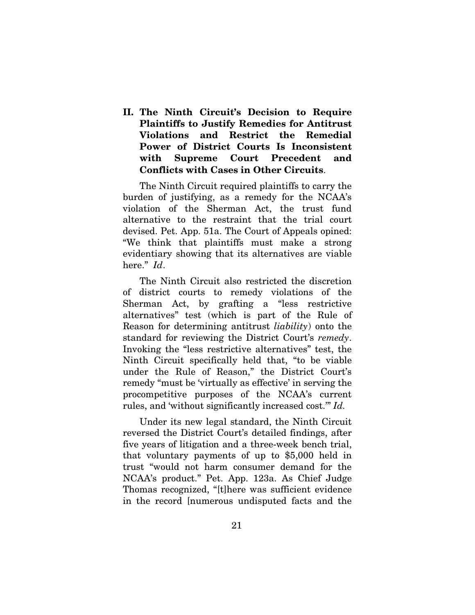<span id="page-29-0"></span>II. The Ninth Circuit's Decision to Require Plaintiffs to Justify Remedies for Antitrust Violations and Restrict the Remedial Power of District Courts Is Inconsistent with Supreme Court Precedent and Conflicts with Cases in Other Circuits.

The Ninth Circuit required plaintiffs to carry the burden of justifying, as a remedy for the NCAA's violation of the Sherman Act, the trust fund alternative to the restraint that the trial court devised. Pet. App. 51a. The Court of Appeals opined: "We think that plaintiffs must make a strong evidentiary showing that its alternatives are viable here." *Id*.

The Ninth Circuit also restricted the discretion of district courts to remedy violations of the Sherman Act, by grafting a "less restrictive alternatives" test (which is part of the Rule of Reason for determining antitrust *liability*) onto the standard for reviewing the District Court's *remedy*. Invoking the "less restrictive alternatives" test, the Ninth Circuit specifically held that, "to be viable under the Rule of Reason," the District Court's remedy "must be 'virtually as effective' in serving the procompetitive purposes of the NCAA's current rules, and 'without significantly increased cost.'" *Id.*

Under its new legal standard, the Ninth Circuit reversed the District Court's detailed findings, after five years of litigation and a three-week bench trial, that voluntary payments of up to \$5,000 held in trust "would not harm consumer demand for the NCAA's product." Pet. App. 123a. As Chief Judge Thomas recognized, "[t]here was sufficient evidence in the record [numerous undisputed facts and the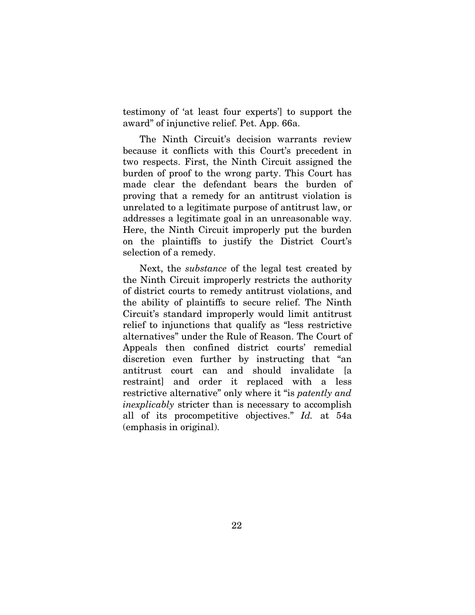testimony of 'at least four experts'] to support the award" of injunctive relief. Pet. App. 66a.

The Ninth Circuit's decision warrants review because it conflicts with this Court's precedent in two respects. First, the Ninth Circuit assigned the burden of proof to the wrong party. This Court has made clear the defendant bears the burden of proving that a remedy for an antitrust violation is unrelated to a legitimate purpose of antitrust law, or addresses a legitimate goal in an unreasonable way. Here, the Ninth Circuit improperly put the burden on the plaintiffs to justify the District Court's selection of a remedy.

<span id="page-30-0"></span>Next, the *substance* of the legal test created by the Ninth Circuit improperly restricts the authority of district courts to remedy antitrust violations, and the ability of plaintiffs to secure relief. The Ninth Circuit's standard improperly would limit antitrust relief to injunctions that qualify as "less restrictive alternatives" under the Rule of Reason. The Court of Appeals then confined district courts' remedial discretion even further by instructing that "an antitrust court can and should invalidate [a restraint] and order it replaced with a less restrictive alternative" only where it "is *patently and inexplicably* stricter than is necessary to accomplish all of its procompetitive objectives." *Id.* at 54a (emphasis in original).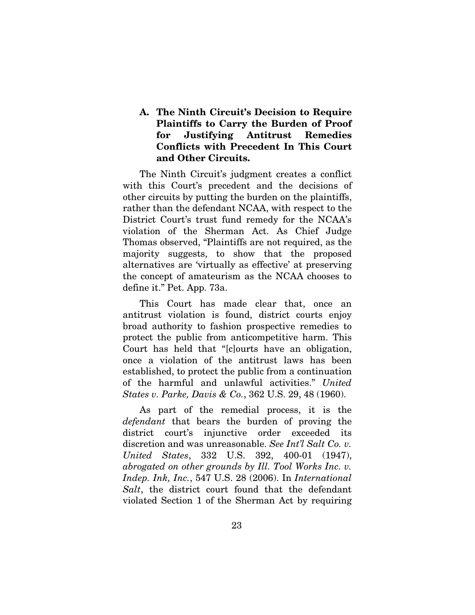## A. The Ninth Circuit's Decision to Require Plaintiffs to Carry the Burden of Proof for Justifying Antitrust Remedies Conflicts with Precedent In This Court and Other Circuits.

The Ninth Circuit's judgment creates a conflict with this Court's precedent and the decisions of other circuits by putting the burden on the plaintiffs, rather than the defendant NCAA, with respect to the District Court's trust fund remedy for the NCAA's violation of the Sherman Act. As Chief Judge Thomas observed, "Plaintiffs are not required, as the majority suggests, to show that the proposed alternatives are 'virtually as effective' at preserving the concept of amateurism as the NCAA chooses to define it." Pet. App. 73a.

This Court has made clear that, once an antitrust violation is found, district courts enjoy broad authority to fashion prospective remedies to protect the public from anticompetitive harm. This Court has held that "[c]ourts have an obligation, once a violation of the antitrust laws has been established, to protect the public from a continuation of the harmful and unlawful activities." *United States v. Parke, Davis & Co.*, 362 U.S. 29, 48 (1960).

As part of the remedial process, it is the *defendant* that bears the burden of proving the district court's injunctive order exceeded its discretion and was unreasonable. *See Int'l Salt Co. v. United States*, 332 U.S. 392, 400-01 (1947), *abrogated on other grounds by Ill. Tool Works Inc. v. Indep. Ink, Inc.*, 547 U.S. 28 (2006). In *International Salt*, the district court found that the defendant violated Section 1 of the Sherman Act by requiring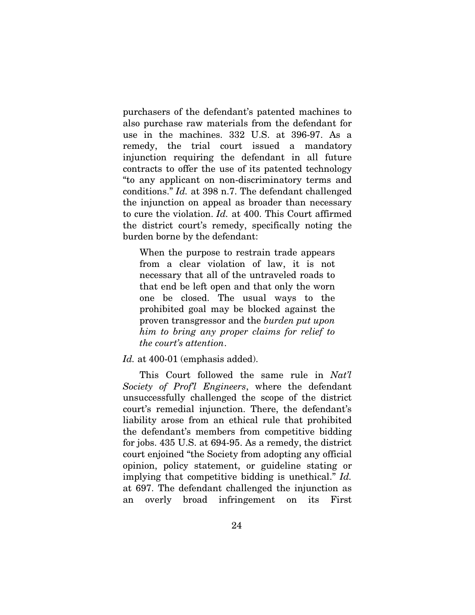purchasers of the defendant's patented machines to also purchase raw materials from the defendant for use in the machines. 332 U.S. at 396-97. As a remedy, the trial court issued a mandatory injunction requiring the defendant in all future contracts to offer the use of its patented technology "to any applicant on non-discriminatory terms and conditions." *Id.* at 398 n.7. The defendant challenged the injunction on appeal as broader than necessary to cure the violation. *Id.* at 400. This Court affirmed the district court's remedy, specifically noting the burden borne by the defendant:

When the purpose to restrain trade appears from a clear violation of law, it is not necessary that all of the untraveled roads to that end be left open and that only the worn one be closed. The usual ways to the prohibited goal may be blocked against the proven transgressor and the *burden put upon him to bring any proper claims for relief to the court's attention*.

*Id.* at 400-01 (emphasis added).

This Court followed the same rule in *Nat'l Society of Prof'l Engineers*, where the defendant unsuccessfully challenged the scope of the district court's remedial injunction. There, the defendant's liability arose from an ethical rule that prohibited the defendant's members from competitive bidding for jobs. 435 U.S. at 694-95. As a remedy, the district court enjoined "the Society from adopting any official opinion, policy statement, or guideline stating or implying that competitive bidding is unethical." *Id.* at 697. The defendant challenged the injunction as an overly broad infringement on its First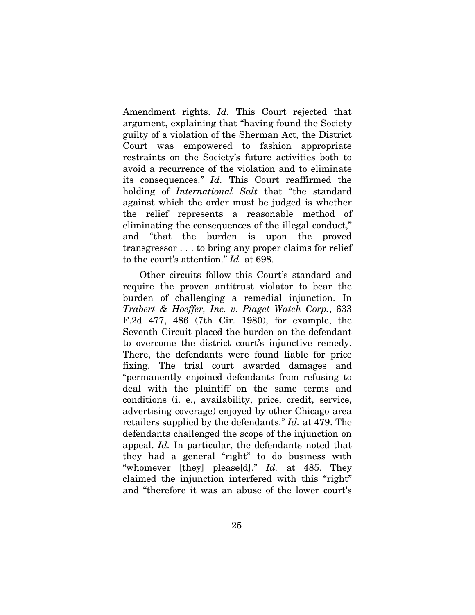Amendment rights. *Id.* This Court rejected that argument, explaining that "having found the Society guilty of a violation of the Sherman Act, the District Court was empowered to fashion appropriate restraints on the Society's future activities both to avoid a recurrence of the violation and to eliminate its consequences." *Id.* This Court reaffirmed the holding of *International Salt* that "the standard against which the order must be judged is whether the relief represents a reasonable method of eliminating the consequences of the illegal conduct," and "that the burden is upon the proved transgressor . . . to bring any proper claims for relief to the court's attention." *Id.* at 698.

Other circuits follow this Court's standard and require the proven antitrust violator to bear the burden of challenging a remedial injunction. In *Trabert & Hoeffer, Inc. v. Piaget Watch Corp.*, 633 F.2d 477, 486 (7th Cir. 1980), for example, the Seventh Circuit placed the burden on the defendant to overcome the district court's injunctive remedy. There, the defendants were found liable for price fixing. The trial court awarded damages and "permanently enjoined defendants from refusing to deal with the plaintiff on the same terms and conditions (i. e., availability, price, credit, service, advertising coverage) enjoyed by other Chicago area retailers supplied by the defendants." *Id.* at 479. The defendants challenged the scope of the injunction on appeal. *Id.* In particular, the defendants noted that they had a general "right" to do business with "whomever [they] please[d]." *Id.* at 485. They claimed the injunction interfered with this "right" and "therefore it was an abuse of the lower court's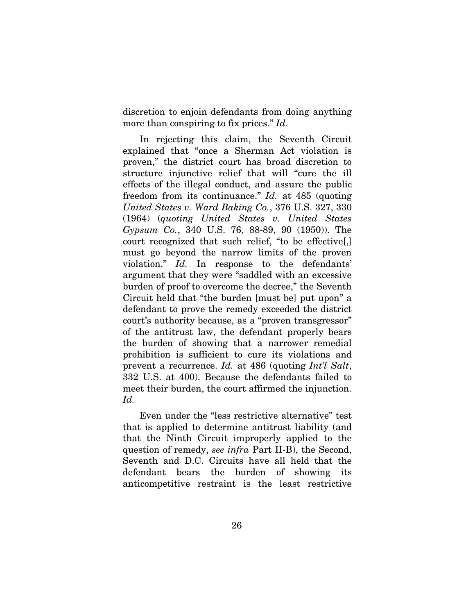discretion to enjoin defendants from doing anything more than conspiring to fix prices." *Id.*

In rejecting this claim, the Seventh Circuit explained that "once a Sherman Act violation is proven," the district court has broad discretion to structure injunctive relief that will "cure the ill effects of the illegal conduct, and assure the public freedom from its continuance." *Id.* at 485 (quoting *United States v. Ward Baking Co.*, 376 U.S. 327, 330 (1964) (*quoting United States v. United States Gypsum Co.*, 340 U.S. 76, 88-89, 90 (1950)). The court recognized that such relief, "to be effective[,] must go beyond the narrow limits of the proven violation." *Id.* In response to the defendants' argument that they were "saddled with an excessive burden of proof to overcome the decree," the Seventh Circuit held that "the burden [must be] put upon" a defendant to prove the remedy exceeded the district court's authority because, as a "proven transgressor" of the antitrust law, the defendant properly bears the burden of showing that a narrower remedial prohibition is sufficient to cure its violations and prevent a recurrence. *Id.* at 486 (quoting *Int'l Salt*, 332 U.S. at 400). Because the defendants failed to meet their burden, the court affirmed the injunction. *Id.*

Even under the "less restrictive alternative" test that is applied to determine antitrust liability (and that the Ninth Circuit improperly applied to the question of remedy, *see infra* Part II-B), the Second, Seventh and D.C. Circuits have all held that the defendant bears the burden of showing its anticompetitive restraint is the least restrictive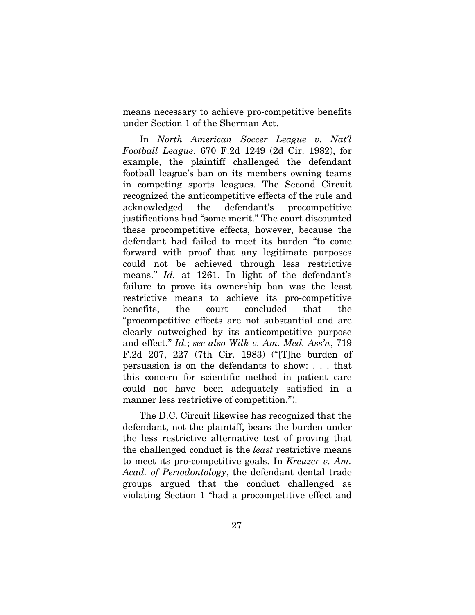means necessary to achieve pro-competitive benefits under Section 1 of the Sherman Act.

In *North American Soccer League v. Nat'l Football League*, 670 F.2d 1249 (2d Cir. 1982), for example, the plaintiff challenged the defendant football league's ban on its members owning teams in competing sports leagues. The Second Circuit recognized the anticompetitive effects of the rule and acknowledged the defendant's procompetitive justifications had "some merit." The court discounted these procompetitive effects, however, because the defendant had failed to meet its burden "to come forward with proof that any legitimate purposes could not be achieved through less restrictive means." *Id.* at 1261. In light of the defendant's failure to prove its ownership ban was the least restrictive means to achieve its pro-competitive benefits, the court concluded that the "procompetitive effects are not substantial and are clearly outweighed by its anticompetitive purpose and effect." *Id.*; *see also Wilk v. Am. Med. Ass'n*, 719 F.2d 207, 227 (7th Cir. 1983) ("[T]he burden of persuasion is on the defendants to show: . . . that this concern for scientific method in patient care could not have been adequately satisfied in a manner less restrictive of competition.").

The D.C. Circuit likewise has recognized that the defendant, not the plaintiff, bears the burden under the less restrictive alternative test of proving that the challenged conduct is the *least* restrictive means to meet its pro-competitive goals. In *Kreuzer v. Am. Acad. of Periodontology*, the defendant dental trade groups argued that the conduct challenged as violating Section 1 "had a procompetitive effect and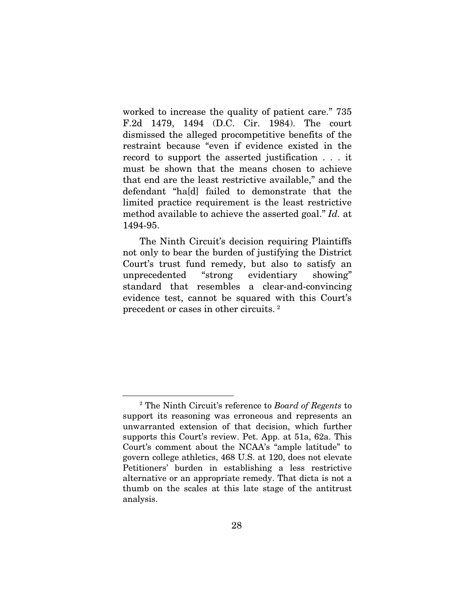worked to increase the quality of patient care." 735 F.2d 1479, 1494 (D.C. Cir. 1984). The court dismissed the alleged procompetitive benefits of the restraint because "even if evidence existed in the record to support the asserted justification . . . it must be shown that the means chosen to achieve that end are the least restrictive available," and the defendant "ha[d] failed to demonstrate that the limited practice requirement is the least restrictive method available to achieve the asserted goal." *Id.* at 1494-95.

The Ninth Circuit's decision requiring Plaintiffs not only to bear the burden of justifying the District Court's trust fund remedy, but also to satisfy an unprecedented "strong evidentiary showing" standard that resembles a clear-and-convincing evidence test, cannot be squared with this Court's precedent or cases in other circuits. [2](#page-14-0)

<span id="page-36-0"></span> $\overline{a}$ 

<sup>2</sup> The Ninth Circuit's reference to *Board of Regents* to support its reasoning was erroneous and represents an unwarranted extension of that decision, which further supports this Court's review. Pet. App. at 51a, 62a. This Court's comment about the NCAA's "ample latitude" to govern college athletics, 468 U.S. at 120, does not elevate Petitioners' burden in establishing a less restrictive alternative or an appropriate remedy. That dicta is not a thumb on the scales at this late stage of the antitrust analysis.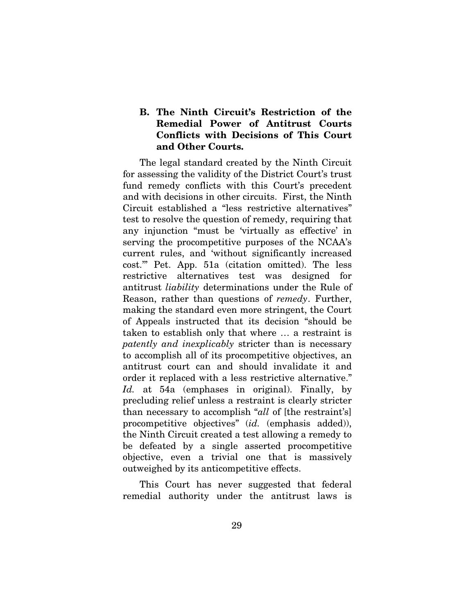## B. The Ninth Circuit's Restriction of the Remedial Power of Antitrust Courts Conflicts with Decisions of This Court and Other Courts.

The legal standard created by the Ninth Circuit for assessing the validity of the District Court's trust fund remedy conflicts with this Court's precedent and with decisions in other circuits. First, the Ninth Circuit established a "less restrictive alternatives" test to resolve the question of remedy, requiring that any injunction "must be 'virtually as effective' in serving the procompetitive purposes of the NCAA's current rules, and 'without significantly increased cost.'" Pet. App. 51a (citation omitted). The less restrictive alternatives test was designed for antitrust *liability* determinations under the Rule of Reason, rather than questions of *remedy*. Further, making the standard even more stringent, the Court of Appeals instructed that its decision "should be taken to establish only that where … a restraint is *patently and inexplicably* stricter than is necessary to accomplish all of its procompetitive objectives, an antitrust court can and should invalidate it and order it replaced with a less restrictive alternative." *Id.* at 54a (emphases in original). Finally, by precluding relief unless a restraint is clearly stricter than necessary to accomplish "*all* of [the restraint's] procompetitive objectives" (*id.* (emphasis added)), the Ninth Circuit created a test allowing a remedy to be defeated by a single asserted procompetitive objective, even a trivial one that is massively outweighed by its anticompetitive effects.

This Court has never suggested that federal remedial authority under the antitrust laws is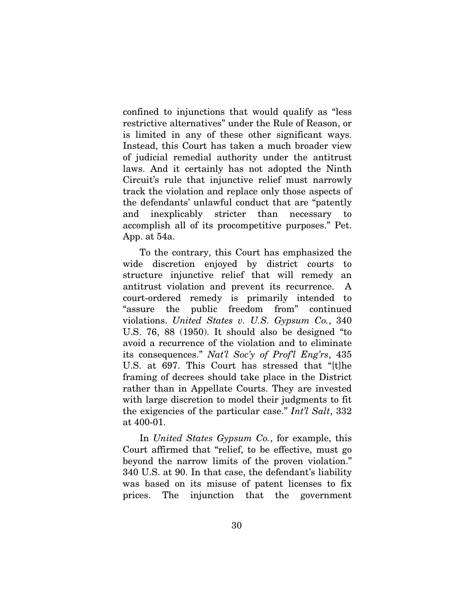confined to injunctions that would qualify as "less restrictive alternatives" under the Rule of Reason, or is limited in any of these other significant ways. Instead, this Court has taken a much broader view of judicial remedial authority under the antitrust laws. And it certainly has not adopted the Ninth Circuit's rule that injunctive relief must narrowly track the violation and replace only those aspects of the defendants' unlawful conduct that are "patently and inexplicably stricter than necessary to accomplish all of its procompetitive purposes." Pet. App. at 54a.

To the contrary, this Court has emphasized the wide discretion enjoyed by district courts structure injunctive relief that will remedy an antitrust violation and prevent its recurrence. A court-ordered remedy is primarily intended to "assure the public freedom from" continued violations. *United States v. U.S. Gypsum Co.*, 340 U.S. 76, 88 (1950). It should also be designed "to avoid a recurrence of the violation and to eliminate its consequences." *Nat'l Soc'y of Prof'l Eng'rs*, 435 U.S. at 697. This Court has stressed that "[t]he framing of decrees should take place in the District rather than in Appellate Courts. They are invested with large discretion to model their judgments to fit the exigencies of the particular case." *Int'l Salt*, 332 at 400-01.

In *United States Gypsum Co.*, for example, this Court affirmed that "relief, to be effective, must go beyond the narrow limits of the proven violation." 340 U.S. at 90. In that case, the defendant's liability was based on its misuse of patent licenses to fix prices. The injunction that the government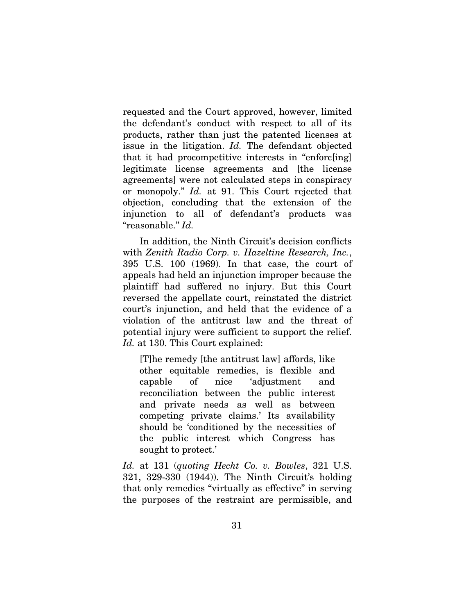requested and the Court approved, however, limited the defendant's conduct with respect to all of its products, rather than just the patented licenses at issue in the litigation. *Id.* The defendant objected that it had procompetitive interests in "enforc[ing] legitimate license agreements and [the license agreements] were not calculated steps in conspiracy or monopoly." *Id.* at 91. This Court rejected that objection, concluding that the extension of the injunction to all of defendant's products was "reasonable." *Id.*

In addition, the Ninth Circuit's decision conflicts with *Zenith Radio Corp. v. Hazeltine Research, Inc.*, 395 U.S. 100 (1969). In that case, the court of appeals had held an injunction improper because the plaintiff had suffered no injury. But this Court reversed the appellate court, reinstated the district court's injunction, and held that the evidence of a violation of the antitrust law and the threat of potential injury were sufficient to support the relief. Id. at 130. This Court explained:

[T]he remedy [the antitrust law] affords, like other equitable remedies, is flexible and capable of nice 'adjustment and reconciliation between the public interest and private needs as well as between competing private claims.' Its availability should be 'conditioned by the necessities of the public interest which Congress has sought to protect.'

*Id.* at 131 (*quoting Hecht Co. v. Bowles*, 321 U.S. 321, 329-330 (1944)). The Ninth Circuit's holding that only remedies "virtually as effective" in serving the purposes of the restraint are permissible, and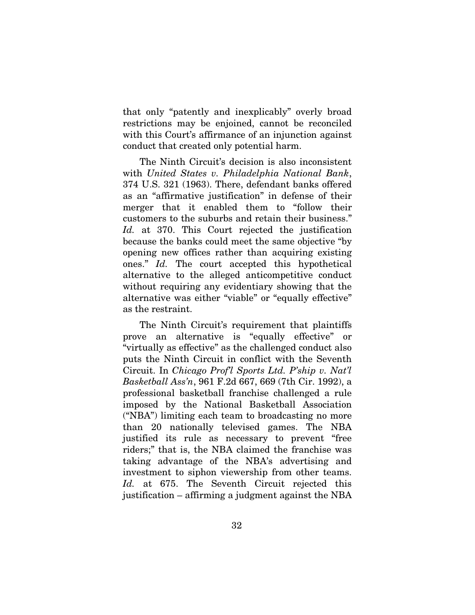that only "patently and inexplicably" overly broad restrictions may be enjoined, cannot be reconciled with this Court's affirmance of an injunction against conduct that created only potential harm.

The Ninth Circuit's decision is also inconsistent with *United States v. Philadelphia National Bank*, 374 U.S. 321 (1963). There, defendant banks offered as an "affirmative justification" in defense of their merger that it enabled them to "follow their customers to the suburbs and retain their business." *Id.* at 370. This Court rejected the justification because the banks could meet the same objective "by opening new offices rather than acquiring existing ones." *Id.* The court accepted this hypothetical alternative to the alleged anticompetitive conduct without requiring any evidentiary showing that the alternative was either "viable" or "equally effective" as the restraint.

The Ninth Circuit's requirement that plaintiffs prove an alternative is "equally effective" or "virtually as effective" as the challenged conduct also puts the Ninth Circuit in conflict with the Seventh Circuit. In *Chicago Prof'l Sports Ltd. P'ship v. Nat'l Basketball Ass'n*, 961 F.2d 667, 669 (7th Cir. 1992), a professional basketball franchise challenged a rule imposed by the National Basketball Association ("NBA") limiting each team to broadcasting no more than 20 nationally televised games. The NBA justified its rule as necessary to prevent "free riders;" that is, the NBA claimed the franchise was taking advantage of the NBA's advertising and investment to siphon viewership from other teams. *Id.* at 675. The Seventh Circuit rejected this justification – affirming a judgment against the NBA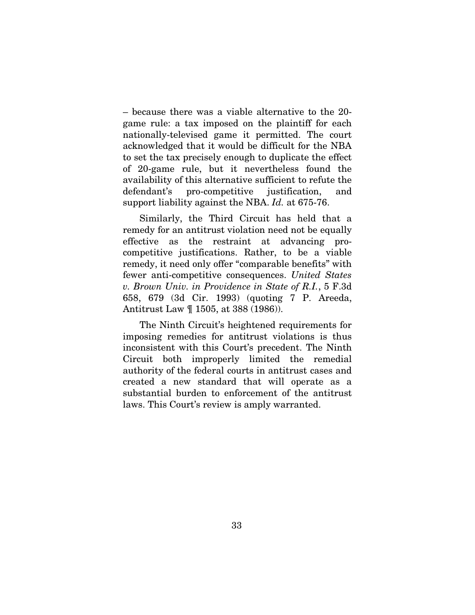– because there was a viable alternative to the 20 game rule: a tax imposed on the plaintiff for each nationally-televised game it permitted. The court acknowledged that it would be difficult for the NBA to set the tax precisely enough to duplicate the effect of 20-game rule, but it nevertheless found the availability of this alternative sufficient to refute the defendant's pro-competitive justification, and support liability against the NBA. *Id.* at 675-76.

Similarly, the Third Circuit has held that a remedy for an antitrust violation need not be equally effective as the restraint at advancing procompetitive justifications. Rather, to be a viable remedy, it need only offer "comparable benefits" with fewer anti-competitive consequences. *United States v. Brown Univ. in Providence in State of R.I.*, 5 F.3d 658, 679 (3d Cir. 1993) (quoting 7 P. Areeda, Antitrust Law ¶ 1505, at 388 (1986)).

<span id="page-41-0"></span>The Ninth Circuit's heightened requirements for imposing remedies for antitrust violations is thus inconsistent with this Court's precedent. The Ninth Circuit both improperly limited the remedial authority of the federal courts in antitrust cases and created a new standard that will operate as a substantial burden to enforcement of the antitrust laws. This Court's review is amply warranted.